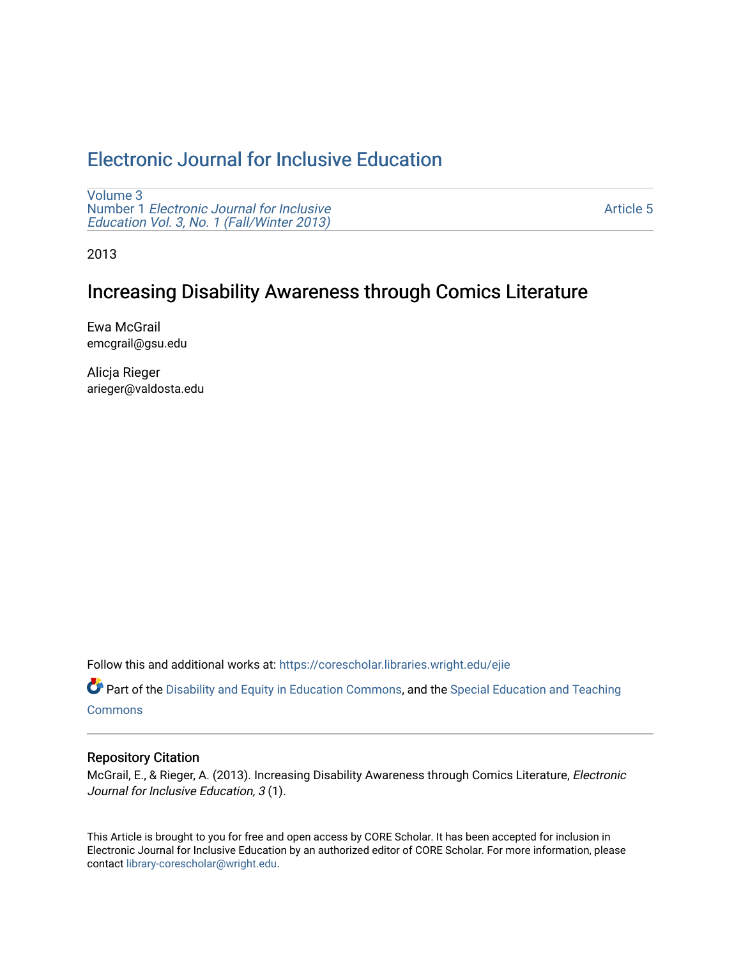# [Electronic Journal for Inclusive Education](https://corescholar.libraries.wright.edu/ejie)

[Volume 3](https://corescholar.libraries.wright.edu/ejie/vol3) Number 1 [Electronic Journal for Inclusive](https://corescholar.libraries.wright.edu/ejie/vol3/iss1) [Education Vol. 3, No. 1 \(Fall/Winter 2013\)](https://corescholar.libraries.wright.edu/ejie/vol3/iss1) 

[Article 5](https://corescholar.libraries.wright.edu/ejie/vol3/iss1/5) 

2013

# Increasing Disability Awareness through Comics Literature

Ewa McGrail emcgrail@gsu.edu

Alicja Rieger arieger@valdosta.edu

Follow this and additional works at: [https://corescholar.libraries.wright.edu/ejie](https://corescholar.libraries.wright.edu/ejie?utm_source=corescholar.libraries.wright.edu%2Fejie%2Fvol3%2Fiss1%2F5&utm_medium=PDF&utm_campaign=PDFCoverPages) 

**Part of the [Disability and Equity in Education Commons](http://network.bepress.com/hgg/discipline/1040?utm_source=corescholar.libraries.wright.edu%2Fejie%2Fvol3%2Fiss1%2F5&utm_medium=PDF&utm_campaign=PDFCoverPages), and the Special Education and Teaching [Commons](http://network.bepress.com/hgg/discipline/801?utm_source=corescholar.libraries.wright.edu%2Fejie%2Fvol3%2Fiss1%2F5&utm_medium=PDF&utm_campaign=PDFCoverPages)** 

#### Repository Citation

McGrail, E., & Rieger, A. (2013). Increasing Disability Awareness through Comics Literature, Electronic Journal for Inclusive Education, 3 (1).

This Article is brought to you for free and open access by CORE Scholar. It has been accepted for inclusion in Electronic Journal for Inclusive Education by an authorized editor of CORE Scholar. For more information, please contact [library-corescholar@wright.edu.](mailto:library-corescholar@wright.edu)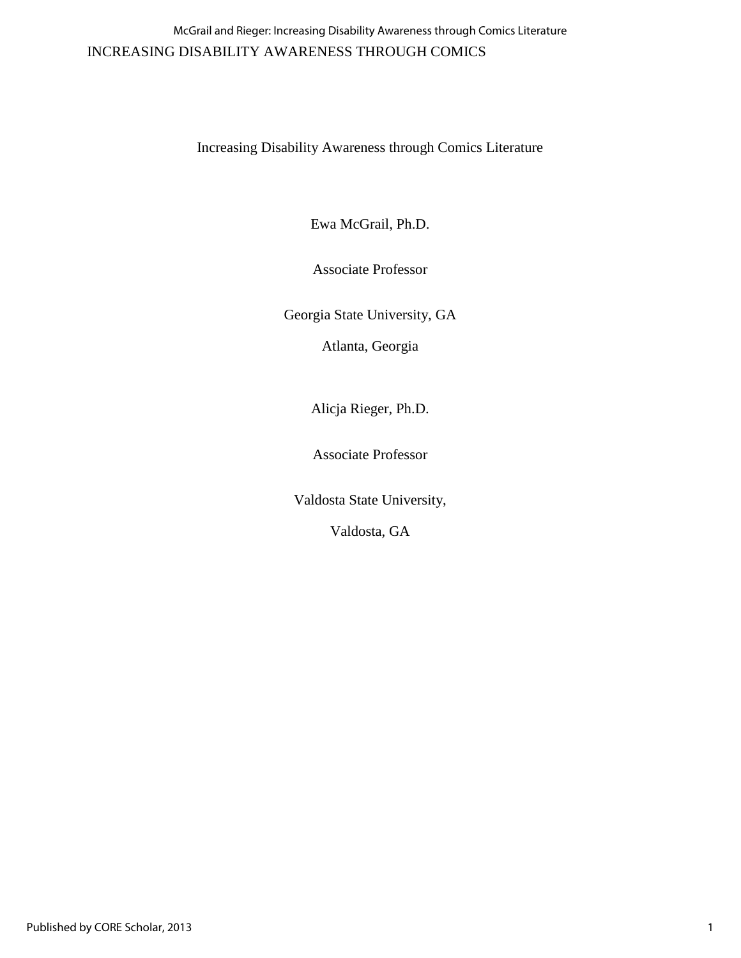## INCREASING DISABILITY AWARENESS THROUGH COMICS McGrail and Rieger: Increasing Disability Awareness through Comics Literature

Increasing Disability Awareness through Comics Literature

Ewa McGrail, Ph.D.

Associate Professor

Georgia State University, GA

Atlanta, Georgia

Alicja Rieger, Ph.D.

Associate Professor

Valdosta State University,

Valdosta, GA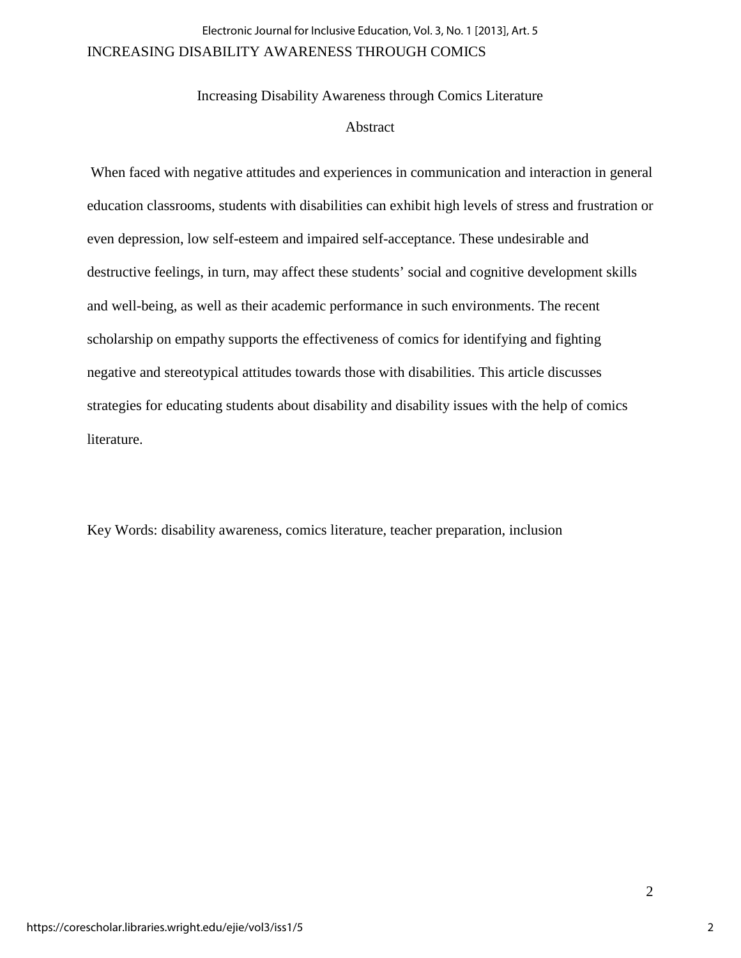## INCREASING DISABILITY AWARENESS THROUGH COMICS Electronic Journal for Inclusive Education, Vol. 3, No. 1 [2013], Art. 5

Increasing Disability Awareness through Comics Literature Abstract

 When faced with negative attitudes and experiences in communication and interaction in general education classrooms, students with disabilities can exhibit high levels of stress and frustration or even depression, low self-esteem and impaired self-acceptance. These undesirable and destructive feelings, in turn, may affect these students' social and cognitive development skills and well-being, as well as their academic performance in such environments. The recent scholarship on empathy supports the effectiveness of comics for identifying and fighting negative and stereotypical attitudes towards those with disabilities. This article discusses strategies for educating students about disability and disability issues with the help of comics literature.

Key Words: disability awareness, comics literature, teacher preparation, inclusion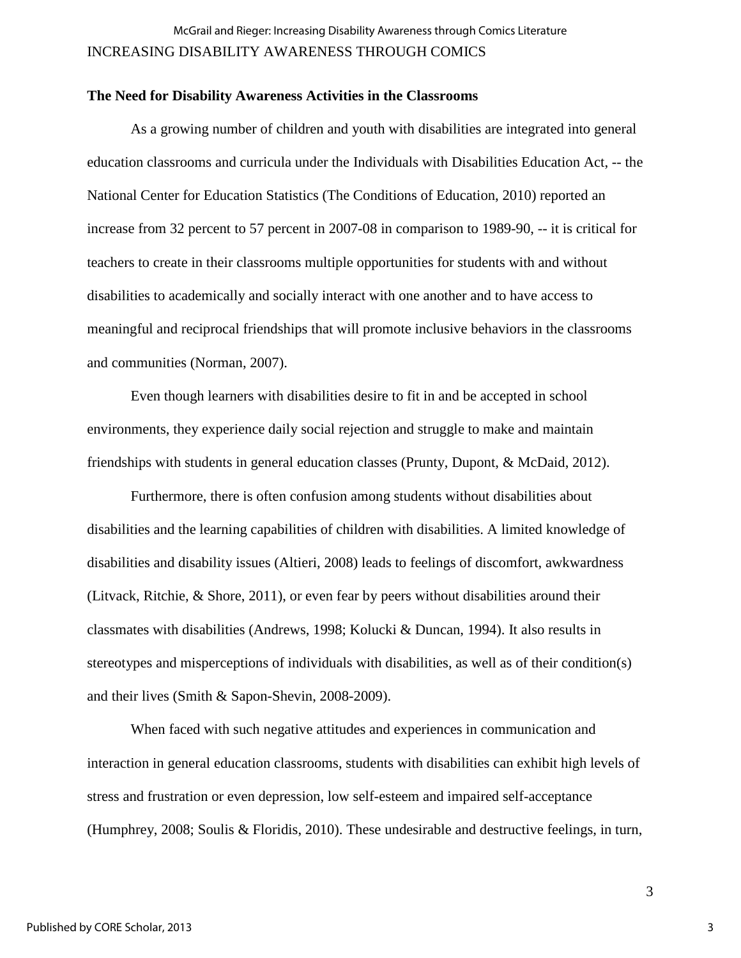## INCREASING DISABILITY AWARENESS THROUGH COMICS McGrail and Rieger: Increasing Disability Awareness through Comics Literature

#### **The Need for Disability Awareness Activities in the Classrooms**

As a growing number of children and youth with disabilities are integrated into general education classrooms and curricula under the Individuals with Disabilities Education Act, -- the National Center for Education Statistics (The Conditions of Education, 2010) reported an increase from 32 percent to 57 percent in 2007-08 in comparison to 1989-90, -- it is critical for teachers to create in their classrooms multiple opportunities for students with and without disabilities to academically and socially interact with one another and to have access to meaningful and reciprocal friendships that will promote inclusive behaviors in the classrooms and communities (Norman, 2007).

Even though learners with disabilities desire to fit in and be accepted in school environments, they experience daily social rejection and struggle to make and maintain friendships with students in general education classes (Prunty, Dupont, & McDaid, 2012).

Furthermore, there is often confusion among students without disabilities about disabilities and the learning capabilities of children with disabilities. A limited knowledge of disabilities and disability issues (Altieri, 2008) leads to feelings of discomfort, awkwardness (Litvack, Ritchie, & Shore, 2011), or even fear by peers without disabilities around their classmates with disabilities (Andrews, 1998; Kolucki & Duncan, 1994). It also results in stereotypes and misperceptions of individuals with disabilities, as well as of their condition(s) and their lives (Smith & Sapon-Shevin, 2008-2009).

When faced with such negative attitudes and experiences in communication and interaction in general education classrooms, students with disabilities can exhibit high levels of stress and frustration or even depression, low self-esteem and impaired self-acceptance (Humphrey, 2008; Soulis & Floridis, 2010). These undesirable and destructive feelings, in turn,

3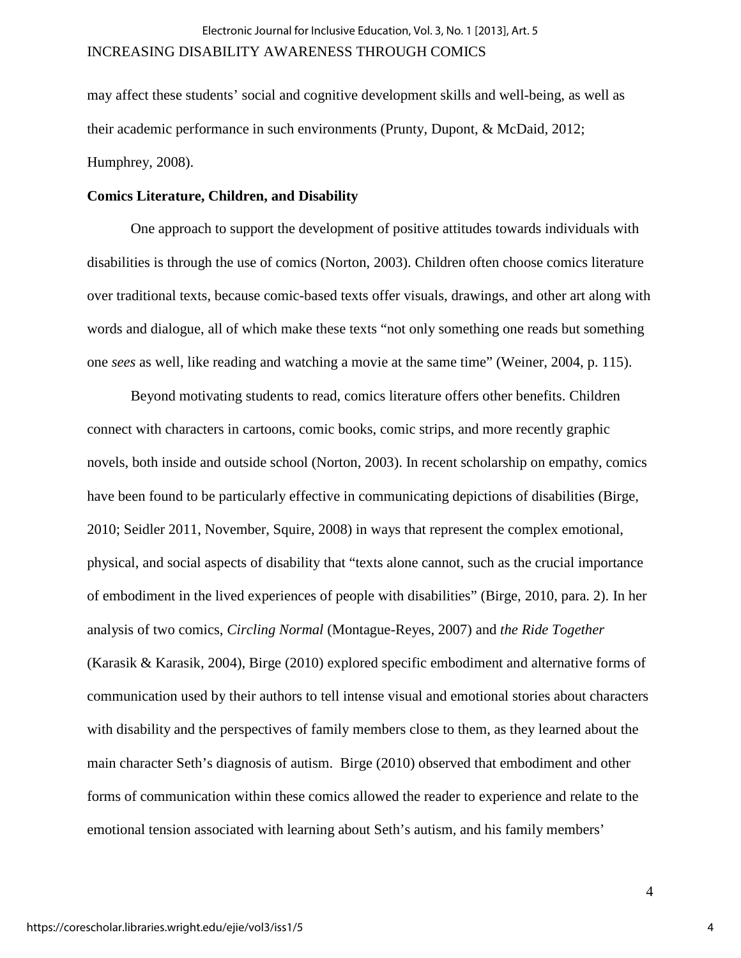may affect these students' social and cognitive development skills and well-being, as well as their academic performance in such environments (Prunty, Dupont, & McDaid, 2012; Humphrey, 2008).

#### **Comics Literature, Children, and Disability**

One approach to support the development of positive attitudes towards individuals with disabilities is through the use of comics (Norton, 2003). Children often choose comics literature over traditional texts, because comic-based texts offer visuals, drawings, and other art along with words and dialogue, all of which make these texts "not only something one reads but something one *sees* as well, like reading and watching a movie at the same time" (Weiner, 2004, p. 115).

Beyond motivating students to read, comics literature offers other benefits. Children connect with characters in cartoons, comic books, comic strips, and more recently graphic novels, both inside and outside school (Norton, 2003). In recent scholarship on empathy, comics have been found to be particularly effective in communicating depictions of disabilities (Birge, 2010; Seidler 2011, November, Squire, 2008) in ways that represent the complex emotional, physical, and social aspects of disability that "texts alone cannot, such as the crucial importance of embodiment in the lived experiences of people with disabilities" (Birge, 2010, para. 2). In her analysis of two comics, *Circling Normal* (Montague-Reyes, 2007) and *the Ride Together* (Karasik & Karasik, 2004), Birge (2010) explored specific embodiment and alternative forms of communication used by their authors to tell intense visual and emotional stories about characters with disability and the perspectives of family members close to them, as they learned about the main character Seth's diagnosis of autism. Birge (2010) observed that embodiment and other forms of communication within these comics allowed the reader to experience and relate to the emotional tension associated with learning about Seth's autism, and his family members'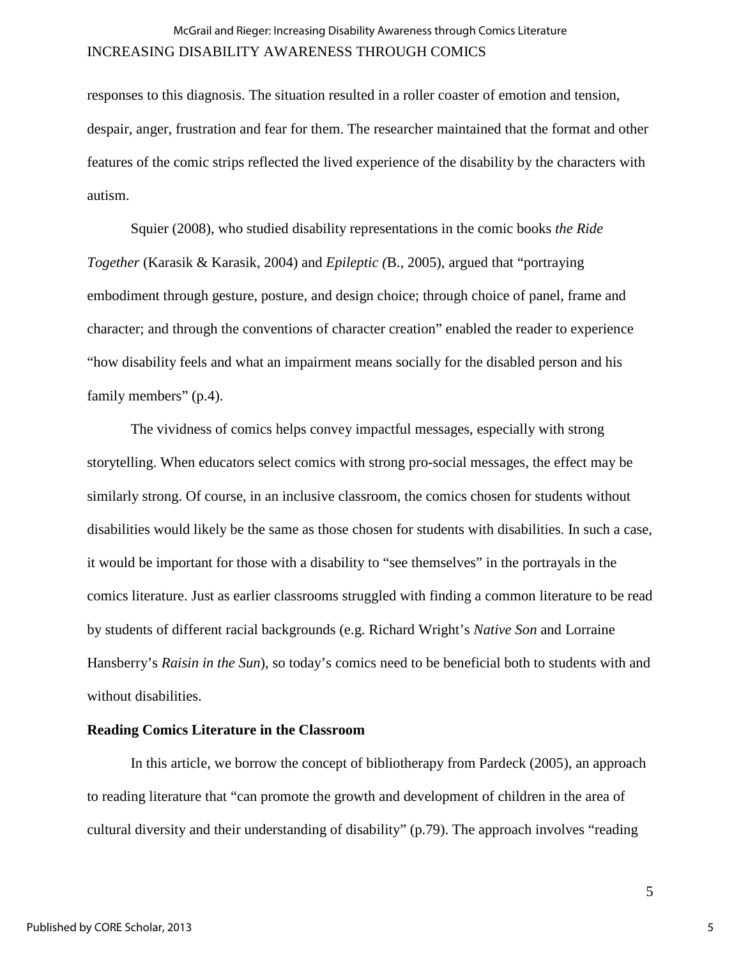responses to this diagnosis. The situation resulted in a roller coaster of emotion and tension, despair, anger, frustration and fear for them. The researcher maintained that the format and other features of the comic strips reflected the lived experience of the disability by the characters with autism.

Squier (2008), who studied disability representations in the comic books *the Ride Together* (Karasik & Karasik, 2004) and *Epileptic (*B., 2005), argued that "portraying embodiment through gesture, posture, and design choice; through choice of panel, frame and character; and through the conventions of character creation" enabled the reader to experience "how disability feels and what an impairment means socially for the disabled person and his family members" (p.4).

The vividness of comics helps convey impactful messages, especially with strong storytelling. When educators select comics with strong pro-social messages, the effect may be similarly strong. Of course, in an inclusive classroom, the comics chosen for students without disabilities would likely be the same as those chosen for students with disabilities. In such a case, it would be important for those with a disability to "see themselves" in the portrayals in the comics literature. Just as earlier classrooms struggled with finding a common literature to be read by students of different racial backgrounds (e.g. Richard Wright's *Native Son* and Lorraine Hansberry's *Raisin in the Sun*), so today's comics need to be beneficial both to students with and without disabilities.

#### **Reading Comics Literature in the Classroom**

In this article, we borrow the concept of bibliotherapy from Pardeck (2005), an approach to reading literature that "can promote the growth and development of children in the area of cultural diversity and their understanding of disability" (p.79). The approach involves "reading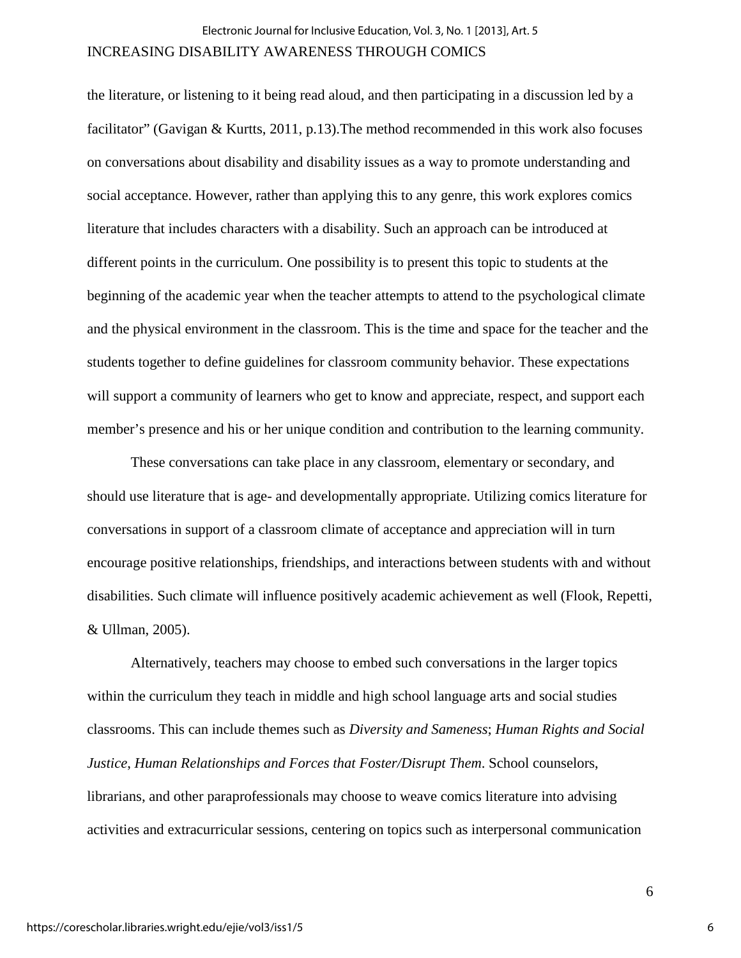#### INCREASING DISABILITY AWARENESS THROUGH COMICS

the literature, or listening to it being read aloud, and then participating in a discussion led by a facilitator" (Gavigan & Kurtts, 2011, p.13). The method recommended in this work also focuses on conversations about disability and disability issues as a way to promote understanding and social acceptance. However, rather than applying this to any genre, this work explores comics literature that includes characters with a disability. Such an approach can be introduced at different points in the curriculum. One possibility is to present this topic to students at the beginning of the academic year when the teacher attempts to attend to the psychological climate and the physical environment in the classroom. This is the time and space for the teacher and the students together to define guidelines for classroom community behavior. These expectations will support a community of learners who get to know and appreciate, respect, and support each member's presence and his or her unique condition and contribution to the learning community.

These conversations can take place in any classroom, elementary or secondary, and should use literature that is age- and developmentally appropriate. Utilizing comics literature for conversations in support of a classroom climate of acceptance and appreciation will in turn encourage positive relationships, friendships, and interactions between students with and without disabilities. Such climate will influence positively academic achievement as well (Flook, Repetti, & Ullman, 2005).

Alternatively, teachers may choose to embed such conversations in the larger topics within the curriculum they teach in middle and high school language arts and social studies classrooms. This can include themes such as *Diversity and Sameness*; *Human Rights and Social Justice*, *Human Relationships and Forces that Foster/Disrupt Them*. School counselors, librarians, and other paraprofessionals may choose to weave comics literature into advising activities and extracurricular sessions, centering on topics such as interpersonal communication

6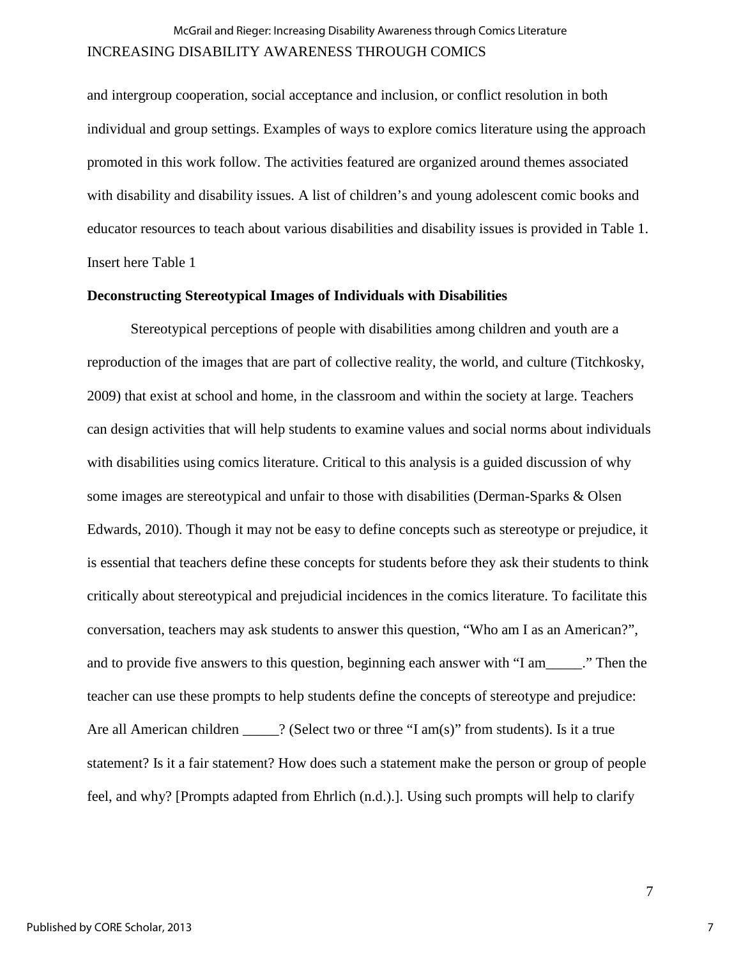## INCREASING DISABILITY AWARENESS THROUGH COMICS McGrail and Rieger: Increasing Disability Awareness through Comics Literature

and intergroup cooperation, social acceptance and inclusion, or conflict resolution in both individual and group settings. Examples of ways to explore comics literature using the approach promoted in this work follow. The activities featured are organized around themes associated with disability and disability issues. A list of children's and young adolescent comic books and educator resources to teach about various disabilities and disability issues is provided in Table 1. Insert here Table 1

#### **Deconstructing Stereotypical Images of Individuals with Disabilities**

Stereotypical perceptions of people with disabilities among children and youth are a reproduction of the images that are part of collective reality, the world, and culture (Titchkosky, 2009) that exist at school and home, in the classroom and within the society at large. Teachers can design activities that will help students to examine values and social norms about individuals with disabilities using comics literature. Critical to this analysis is a guided discussion of why some images are stereotypical and unfair to those with disabilities (Derman-Sparks & Olsen Edwards, 2010). Though it may not be easy to define concepts such as stereotype or prejudice, it is essential that teachers define these concepts for students before they ask their students to think critically about stereotypical and prejudicial incidences in the comics literature. To facilitate this conversation, teachers may ask students to answer this question, "Who am I as an American?", and to provide five answers to this question, beginning each answer with "I am \_\_\_\_..." Then the teacher can use these prompts to help students define the concepts of stereotype and prejudice: Are all American children \_\_\_\_\_? (Select two or three "I am(s)" from students). Is it a true statement? Is it a fair statement? How does such a statement make the person or group of people feel, and why? [Prompts adapted from Ehrlich (n.d.).]. Using such prompts will help to clarify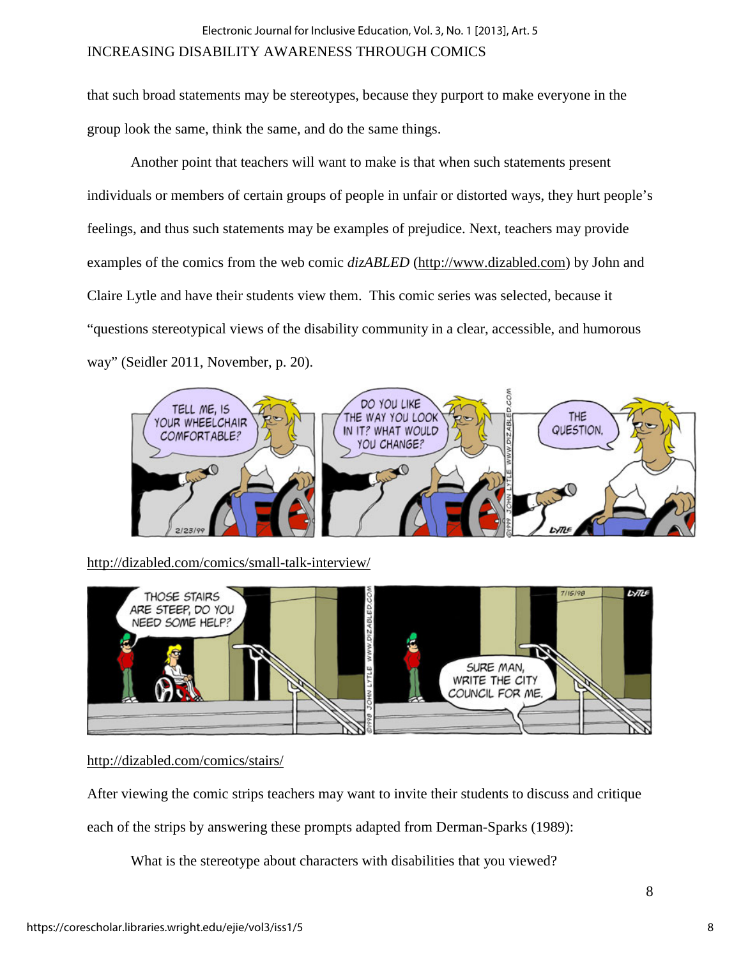### INCREASING DISABILITY AWARENESS THROUGH COMICS

that such broad statements may be stereotypes, because they purport to make everyone in the group look the same, think the same, and do the same things.

Another point that teachers will want to make is that when such statements present individuals or members of certain groups of people in unfair or distorted ways, they hurt people's feelings, and thus such statements may be examples of prejudice. Next, teachers may provide examples of the comics from the web comic *dizABLED* [\(http://www.dizabled.com\)](http://www.dizabled.com/) by John and Claire Lytle and have their students view them. This comic series was selected, because it "questions stereotypical views of the disability community in a clear, accessible, and humorous way" (Seidler 2011, November, p. 20).



<http://dizabled.com/comics/small-talk-interview/>



<http://dizabled.com/comics/stairs/>

After viewing the comic strips teachers may want to invite their students to discuss and critique

each of the strips by answering these prompts adapted from Derman-Sparks (1989):

What is the stereotype about characters with disabilities that you viewed?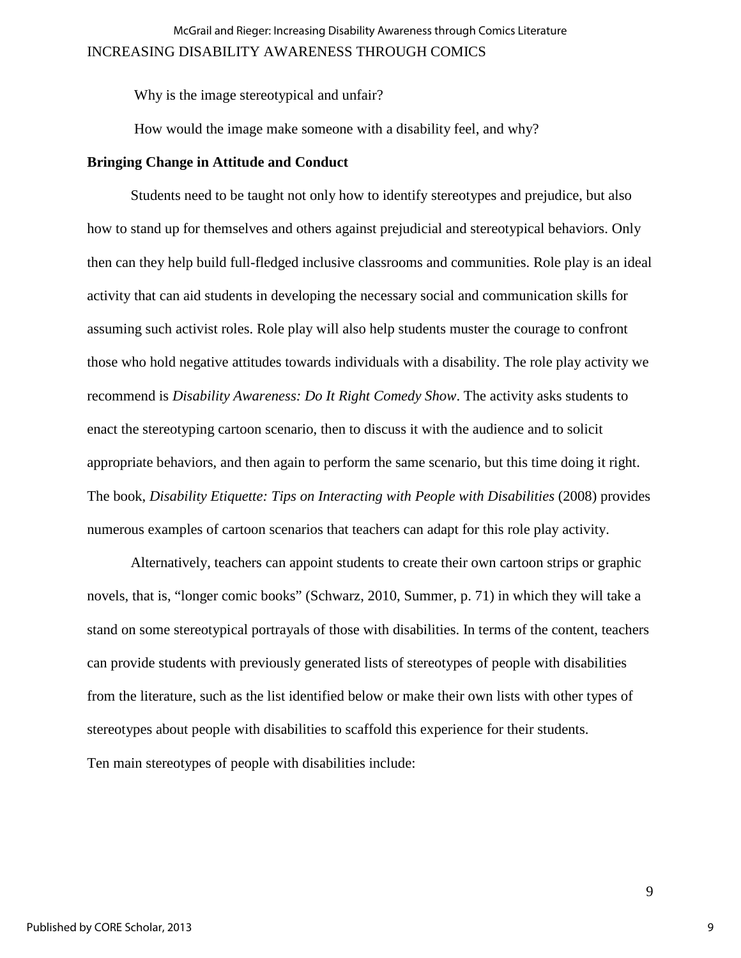Why is the image stereotypical and unfair?

How would the image make someone with a disability feel, and why?

#### **Bringing Change in Attitude and Conduct**

Students need to be taught not only how to identify stereotypes and prejudice, but also how to stand up for themselves and others against prejudicial and stereotypical behaviors. Only then can they help build full-fledged inclusive classrooms and communities. Role play is an ideal activity that can aid students in developing the necessary social and communication skills for assuming such activist roles. Role play will also help students muster the courage to confront those who hold negative attitudes towards individuals with a disability. The role play activity we recommend is *Disability Awareness: Do It Right Comedy Show*. The activity asks students to enact the stereotyping cartoon scenario, then to discuss it with the audience and to solicit appropriate behaviors, and then again to perform the same scenario, but this time doing it right. The book, *Disability Etiquette: Tips on Interacting with People with Disabilities* (2008) provides numerous examples of cartoon scenarios that teachers can adapt for this role play activity.

Alternatively, teachers can appoint students to create their own cartoon strips or graphic novels, that is, "longer comic books" (Schwarz, 2010, Summer, p. 71) in which they will take a stand on some stereotypical portrayals of those with disabilities. In terms of the content, teachers can provide students with previously generated lists of stereotypes of people with disabilities from the literature, such as the list identified below or make their own lists with other types of stereotypes about people with disabilities to scaffold this experience for their students. Ten main stereotypes of people with disabilities include: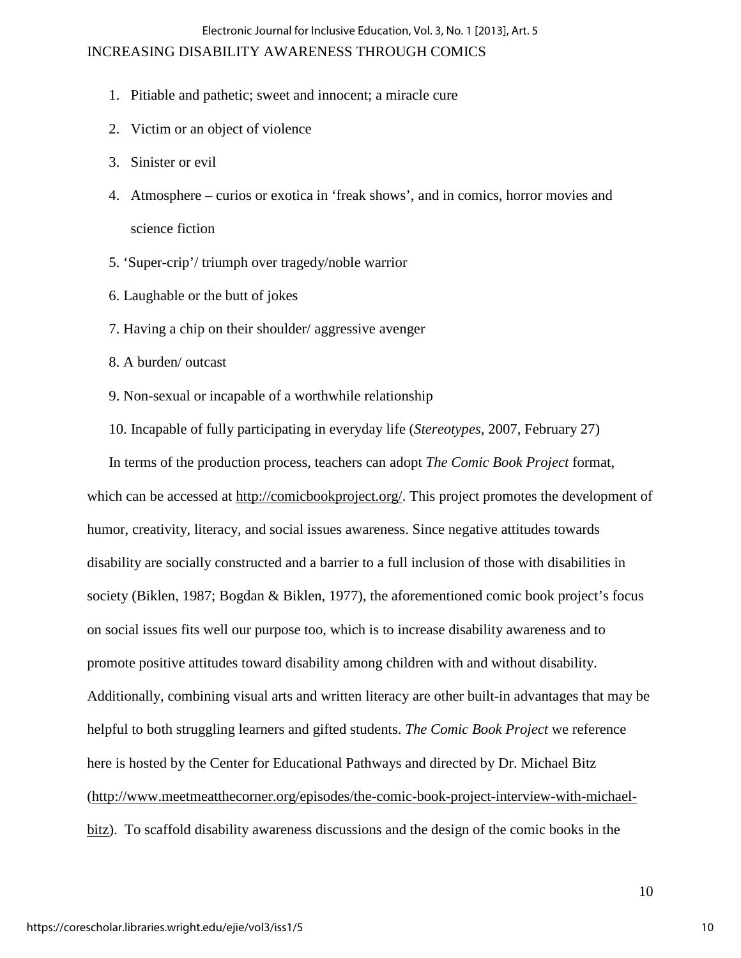#### Electronic Journal for Inclusive Education, Vol. 3, No. 1 [2013], Art. 5

### INCREASING DISABILITY AWARENESS THROUGH COMICS

- 1. Pitiable and pathetic; sweet and innocent; a miracle cure
- 2. Victim or an object of violence
- 3. Sinister or evil
- 4. Atmosphere curios or exotica in 'freak shows', and in comics, horror movies and science fiction
- 5. 'Super-crip'/ triumph over tragedy/noble warrior
- 6. Laughable or the butt of jokes
- 7. Having a chip on their shoulder/ aggressive avenger
- 8. A burden/ outcast
- 9. Non-sexual or incapable of a worthwhile relationship
- 10. Incapable of fully participating in everyday life (*Stereotypes*, 2007, February 27)

In terms of the production process, teachers can adopt *The Comic Book Project* format, which can be accessed at [http://comicbookproject.org/.](http://comicbookproject.org/) This project promotes the development of humor, creativity, literacy, and social issues awareness. Since negative attitudes towards disability are socially constructed and a barrier to a full inclusion of those with disabilities in society (Biklen, 1987; Bogdan & Biklen, 1977), the aforementioned comic book project's focus on social issues fits well our purpose too, which is to increase disability awareness and to promote positive attitudes toward disability among children with and without disability. Additionally, combining visual arts and written literacy are other built-in advantages that may be helpful to both struggling learners and gifted students. *The Comic Book Project* we reference here is hosted by the Center for Educational Pathways and directed by Dr. Michael Bitz [\(http://www.meetmeatthecorner.org/episodes/the-comic-book-project-interview-with-michael](http://www.meetmeatthecorner.org/episodes/the-comic-book-project-interview-with-michael-bitz)[bitz\)](http://www.meetmeatthecorner.org/episodes/the-comic-book-project-interview-with-michael-bitz). To scaffold disability awareness discussions and the design of the comic books in the

10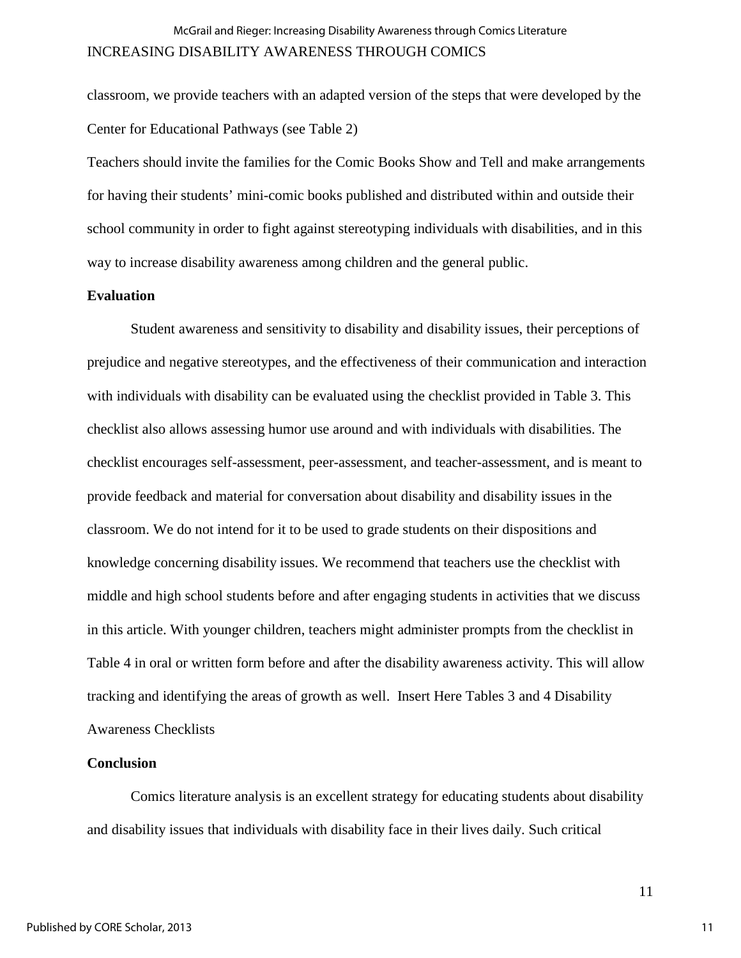classroom, we provide teachers with an adapted version of the steps that were developed by the Center for Educational Pathways (see Table 2)

Teachers should invite the families for the Comic Books Show and Tell and make arrangements for having their students' mini-comic books published and distributed within and outside their school community in order to fight against stereotyping individuals with disabilities, and in this way to increase disability awareness among children and the general public.

#### **Evaluation**

Student awareness and sensitivity to disability and disability issues, their perceptions of prejudice and negative stereotypes, and the effectiveness of their communication and interaction with individuals with disability can be evaluated using the checklist provided in Table 3. This checklist also allows assessing humor use around and with individuals with disabilities. The checklist encourages self-assessment, peer-assessment, and teacher-assessment, and is meant to provide feedback and material for conversation about disability and disability issues in the classroom. We do not intend for it to be used to grade students on their dispositions and knowledge concerning disability issues. We recommend that teachers use the checklist with middle and high school students before and after engaging students in activities that we discuss in this article. With younger children, teachers might administer prompts from the checklist in Table 4 in oral or written form before and after the disability awareness activity. This will allow tracking and identifying the areas of growth as well. Insert Here Tables 3 and 4 Disability Awareness Checklists

#### **Conclusion**

Comics literature analysis is an excellent strategy for educating students about disability and disability issues that individuals with disability face in their lives daily. Such critical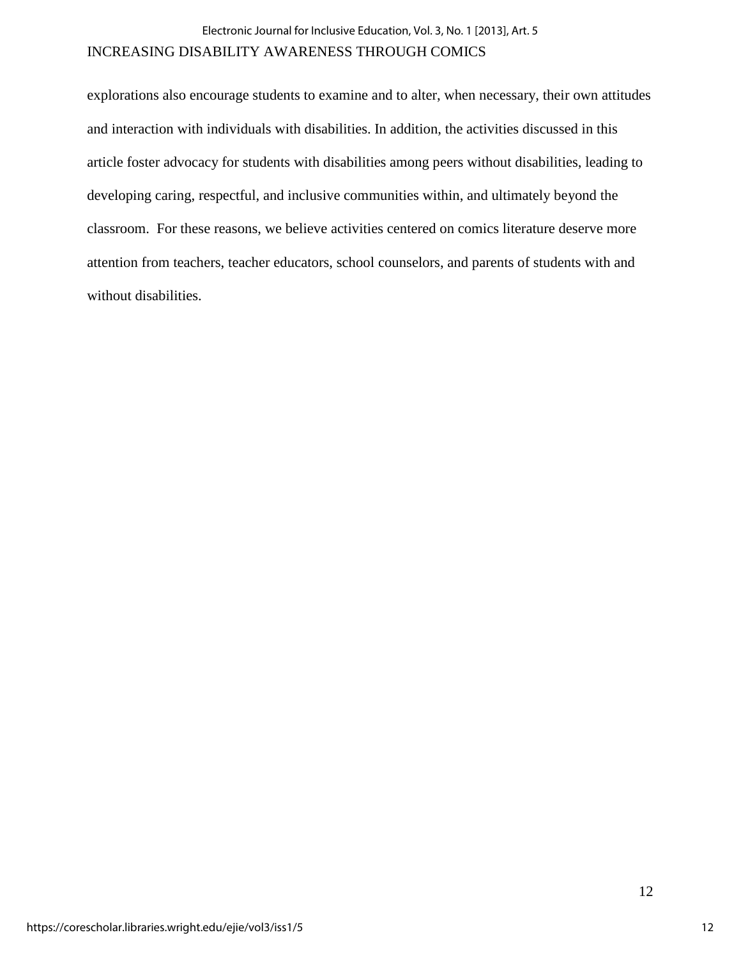#### INCREASING DISABILITY AWARENESS THROUGH COMICS

explorations also encourage students to examine and to alter, when necessary, their own attitudes and interaction with individuals with disabilities. In addition, the activities discussed in this article foster advocacy for students with disabilities among peers without disabilities, leading to developing caring, respectful, and inclusive communities within, and ultimately beyond the classroom. For these reasons, we believe activities centered on comics literature deserve more attention from teachers, teacher educators, school counselors, and parents of students with and without disabilities.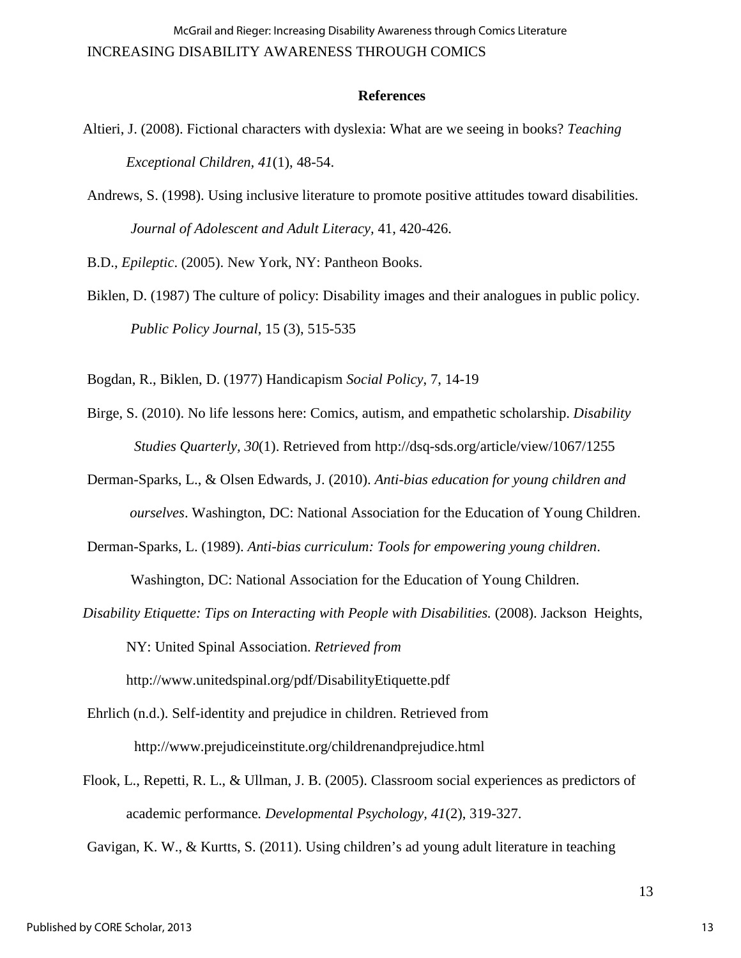#### **References**

- Altieri, J. (2008). Fictional characters with dyslexia: What are we seeing in books? *Teaching Exceptional Children, 41*(1), 48-54.
- Andrews, S. (1998). Using inclusive literature to promote positive attitudes toward disabilities. *Journal of Adolescent and Adult Literacy,* 41, 420-426.

B.D., *Epileptic*. (2005). New York, NY: Pantheon Books.

Biklen, D. (1987) The culture of policy: Disability images and their analogues in public policy. *Public Policy Journal*, 15 (3), 515-535

Bogdan, R., Biklen, D. (1977) Handicapism *Social Policy*, 7, 14-19

- Birge, S. (2010). No life lessons here: Comics, autism, and empathetic scholarship. *Disability Studies Quarterly, 30*(1). Retrieved from<http://dsq-sds.org/article/view/1067/1255>
- Derman-Sparks, L., & Olsen Edwards, J. (2010). *Anti-bias education for young children and ourselves*. Washington, DC: National Association for the Education of Young Children.
- Derman-Sparks, L. (1989). *Anti-bias curriculum: Tools for empowering young children*. Washington, DC: National Association for the Education of Young Children.
- *Disability Etiquette: Tips on Interacting with People with Disabilities.* (2008). Jackson Heights, NY: United Spinal Association. *Retrieved from*

<http://www.unitedspinal.org/pdf/DisabilityEtiquette.pdf>

- Ehrlich (n.d.). Self-identity and prejudice in children. Retrieved from http://www.prejudiceinstitute.org/childrenandprejudice.html
- Flook, L., Repetti, R. L., & Ullman, J. B. (2005). Classroom social experiences as predictors of academic performance*. Developmental Psychology, 41*(2), 319-327.

Gavigan, K. W., & Kurtts, S. (2011). Using children's ad young adult literature in teaching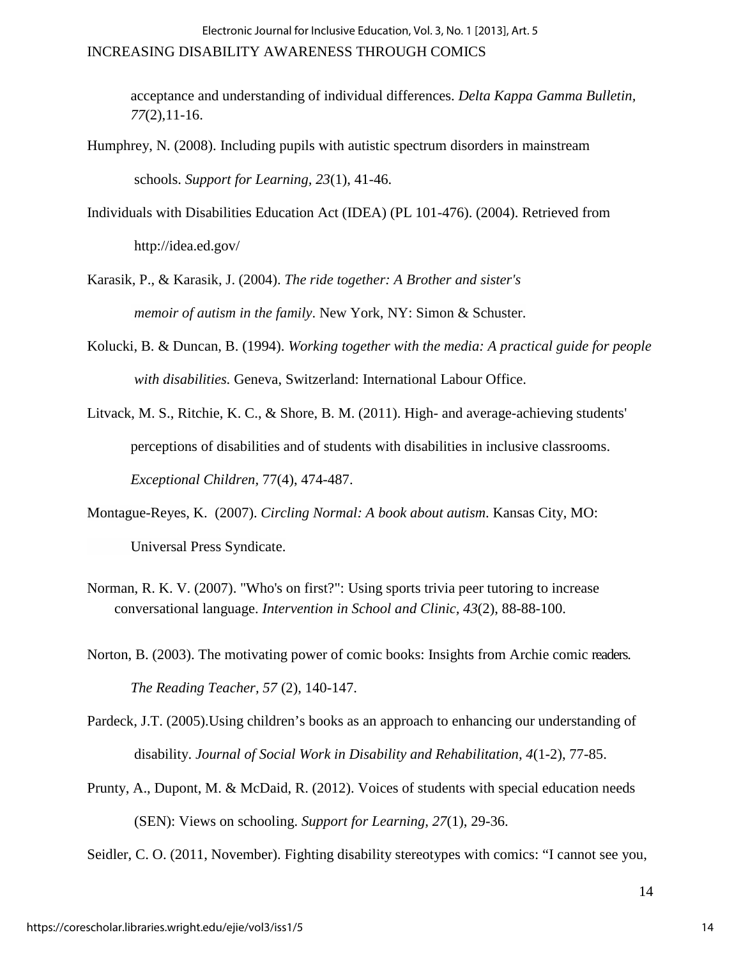#### INCREASING DISABILITY AWARENESS THROUGH COMICS

acceptance and understanding of individual differences. *Delta Kappa Gamma Bulletin, 77*(2),11-16.

- Humphrey, N. (2008). Including pupils with autistic spectrum disorders in mainstream schools. *Support for Learning, 23*(1), 41-46.
- Individuals with Disabilities Education Act (IDEA) (PL 101-476). (2004). Retrieved from <http://idea.ed.gov/>
- Karasik, P., & Karasik, J. (2004). *The ride together: A Brother and sister's memoir of autism in the family*. New York, NY: Simon & Schuster.
- Kolucki, B. & Duncan, B. (1994). *Working together with the media: A practical guide for people with disabilities.* Geneva, Switzerland: International Labour Office.
- Litvack, M. S., Ritchie, K. C., & Shore, B. M. (2011). High- and average-achieving students' perceptions of disabilities and of students with disabilities in inclusive classrooms. *Exceptional Children,* 77(4), 474-487.
- Montague-Reyes, K. (2007). *Circling Normal: A book about autism*. Kansas City, MO: Universal Press Syndicate.
- Norman, R. K. V. (2007). "Who's on first?": Using sports trivia peer tutoring to increase conversational language. *Intervention in School and Clinic, 43*(2), 88-88-100.
- Norton, B. (2003). The motivating power of comic books: Insights from Archie comic readers. *The Reading Teacher, 57* (2), 140-147.
- Pardeck, J.T. (2005).Using children's books as an approach to enhancing our understanding of disability. *Journal of Social Work in Disability and Rehabilitation, 4*(1-2), 77-85.
- Prunty, A., Dupont, M. & McDaid, R. (2012). Voices of students with special education needs (SEN): Views on schooling. *Support for Learning, 27*(1), 29-36.

Seidler, C. O. (2011, November). Fighting disability stereotypes with comics: "I cannot see you,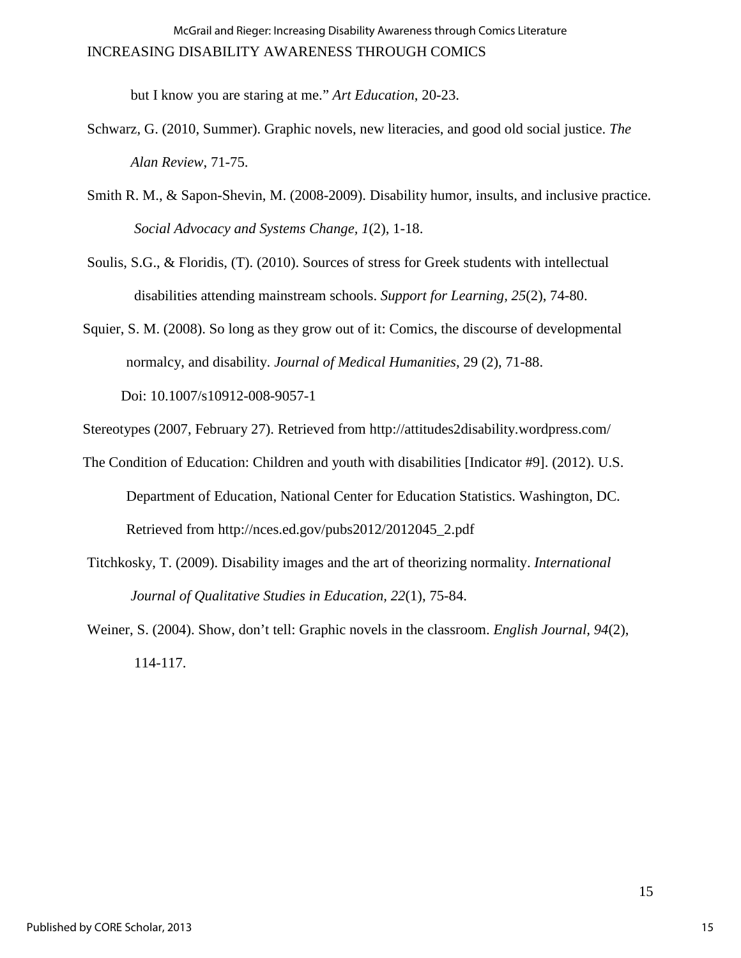but I know you are staring at me." *Art Education*, 20-23.

- Schwarz, G. (2010, Summer). Graphic novels, new literacies, and good old social justice. *The Alan Review*, 71-75.
- Smith R. M., & Sapon-Shevin, M. (2008-2009). Disability humor, insults, and inclusive practice. *Social Advocacy and Systems Change, 1*(2), 1-18.
- Soulis, S.G., & Floridis, (T). (2010). Sources of stress for Greek students with intellectual disabilities attending mainstream schools. *Support for Learning, 25*(2), 74-80.
- Squier, S. M. (2008). So long as they grow out of it: Comics, the discourse of developmental normalcy, and disability. *Journal of Medical Humanities*, 29 (2), 71-88.

Doi: 10.1007/s10912-008-9057-1

Stereotypes (2007, February 27). Retrieved from<http://attitudes2disability.wordpress.com/>

- The Condition of Education: Children and youth with disabilities [Indicator #9]. (2012). U.S. Department of Education, National Center for Education Statistics. Washington, DC. Retrieved from [http://nces.ed.gov/pubs2012/2012045\\_2.pdf](http://nces.ed.gov/pubs2012/2012045_2.pdf)
- Titchkosky, T. (2009). Disability images and the art of theorizing normality. *International Journal of Qualitative Studies in Education, 22*(1), 75-84.

Weiner, S. (2004). Show, don't tell: Graphic novels in the classroom. *English Journal, 94*(2), 114-117.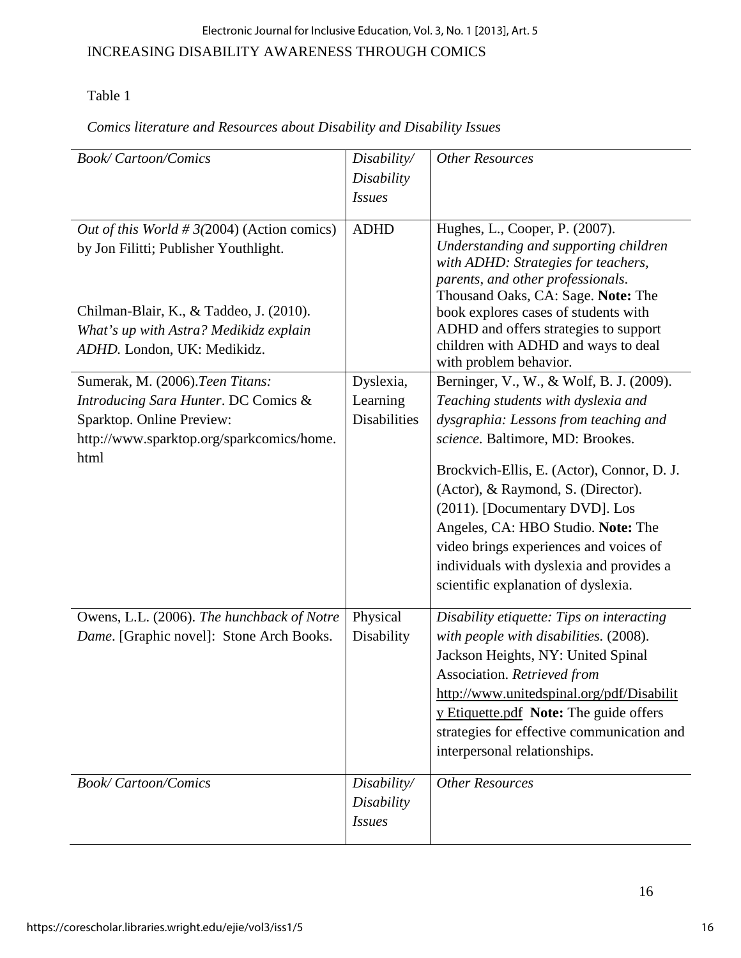### Electronic Journal for Inclusive Education, Vol. 3, No. 1 [2013], Art. 5

### INCREASING DISABILITY AWARENESS THROUGH COMICS

## Table 1

### *Comics literature and Resources about Disability and Disability Issues*

| <b>Book/Cartoon/Comics</b>                                                                                                                                                                                 | Disability/<br>Disability                    | <b>Other Resources</b>                                                                                                                                                                                                                                                                                                                                                                                                                                |  |  |
|------------------------------------------------------------------------------------------------------------------------------------------------------------------------------------------------------------|----------------------------------------------|-------------------------------------------------------------------------------------------------------------------------------------------------------------------------------------------------------------------------------------------------------------------------------------------------------------------------------------------------------------------------------------------------------------------------------------------------------|--|--|
|                                                                                                                                                                                                            | <b>Issues</b>                                |                                                                                                                                                                                                                                                                                                                                                                                                                                                       |  |  |
| Out of this World # $3(2004)$ (Action comics)<br>by Jon Filitti; Publisher Youthlight.<br>Chilman-Blair, K., & Taddeo, J. (2010).<br>What's up with Astra? Medikidz explain<br>ADHD. London, UK: Medikidz. | <b>ADHD</b>                                  | Hughes, L., Cooper, P. (2007).<br>Understanding and supporting children<br>with ADHD: Strategies for teachers,<br>parents, and other professionals.<br>Thousand Oaks, CA: Sage. Note: The<br>book explores cases of students with<br>ADHD and offers strategies to support<br>children with ADHD and ways to deal<br>with problem behavior.                                                                                                           |  |  |
| Sumerak, M. (2006). Teen Titans:<br>Introducing Sara Hunter. DC Comics &<br>Sparktop. Online Preview:<br>http://www.sparktop.org/sparkcomics/home.<br>html                                                 | Dyslexia,<br>Learning<br><b>Disabilities</b> | Berninger, V., W., & Wolf, B. J. (2009).<br>Teaching students with dyslexia and<br>dysgraphia: Lessons from teaching and<br>science. Baltimore, MD: Brookes.<br>Brockvich-Ellis, E. (Actor), Connor, D. J.<br>(Actor), & Raymond, S. (Director).<br>(2011). [Documentary DVD]. Los<br>Angeles, CA: HBO Studio. Note: The<br>video brings experiences and voices of<br>individuals with dyslexia and provides a<br>scientific explanation of dyslexia. |  |  |
| Owens, L.L. (2006). The hunchback of Notre<br>Dame. [Graphic novel]: Stone Arch Books.                                                                                                                     | Physical<br>Disability                       | Disability etiquette: Tips on interacting<br>with people with disabilities. (2008).<br>Jackson Heights, NY: United Spinal<br>Association. Retrieved from<br>http://www.unitedspinal.org/pdf/Disabilit<br>y Etiquette.pdf Note: The guide offers<br>strategies for effective communication and<br>interpersonal relationships.                                                                                                                         |  |  |
| <b>Book/Cartoon/Comics</b>                                                                                                                                                                                 | Disability/<br>Disability<br><b>Issues</b>   | <b>Other Resources</b>                                                                                                                                                                                                                                                                                                                                                                                                                                |  |  |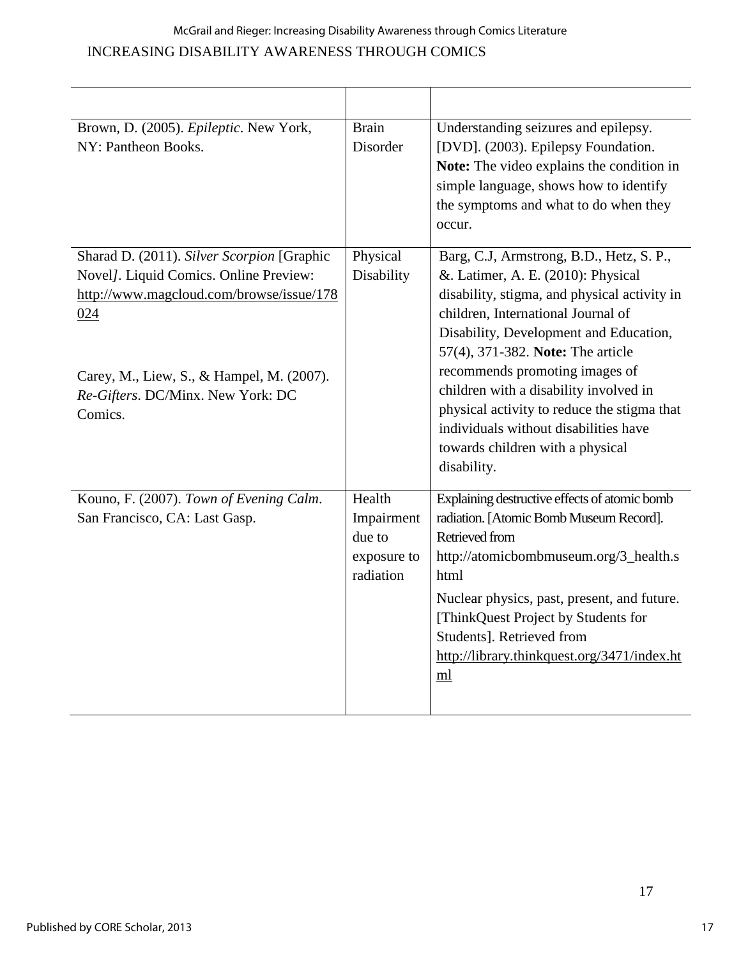# INCREASING DISABILITY AWARENESS THROUGH COMICS McGrail and Rieger: Increasing Disability Awareness through Comics Literature

| Brown, D. (2005). Epileptic. New York,<br>NY: Pantheon Books.                                                                                                                                                                        | <b>Brain</b><br>Disorder                                   | Understanding seizures and epilepsy.<br>[DVD]. (2003). Epilepsy Foundation.<br>Note: The video explains the condition in<br>simple language, shows how to identify<br>the symptoms and what to do when they<br>occur.                                                                                                                                                                                                                                                      |  |
|--------------------------------------------------------------------------------------------------------------------------------------------------------------------------------------------------------------------------------------|------------------------------------------------------------|----------------------------------------------------------------------------------------------------------------------------------------------------------------------------------------------------------------------------------------------------------------------------------------------------------------------------------------------------------------------------------------------------------------------------------------------------------------------------|--|
| Sharad D. (2011). Silver Scorpion [Graphic<br>Novel]. Liquid Comics. Online Preview:<br>http://www.magcloud.com/browse/issue/178<br>024<br>Carey, M., Liew, S., & Hampel, M. (2007).<br>Re-Gifters. DC/Minx. New York: DC<br>Comics. | Physical<br>Disability                                     | Barg, C.J, Armstrong, B.D., Hetz, S. P.,<br>&. Latimer, A. E. (2010): Physical<br>disability, stigma, and physical activity in<br>children, International Journal of<br>Disability, Development and Education,<br>57(4), 371-382. Note: The article<br>recommends promoting images of<br>children with a disability involved in<br>physical activity to reduce the stigma that<br>individuals without disabilities have<br>towards children with a physical<br>disability. |  |
| Kouno, F. (2007). Town of Evening Calm.<br>San Francisco, CA: Last Gasp.                                                                                                                                                             | Health<br>Impairment<br>due to<br>exposure to<br>radiation | Explaining destructive effects of atomic bomb<br>radiation. [Atomic Bomb Museum Record].<br>Retrieved from<br>http://atomicbombmuseum.org/3_health.s<br>html<br>Nuclear physics, past, present, and future.<br>[ThinkQuest Project by Students for<br>Students]. Retrieved from<br>http://library.thinkquest.org/3471/index.ht<br>ml                                                                                                                                       |  |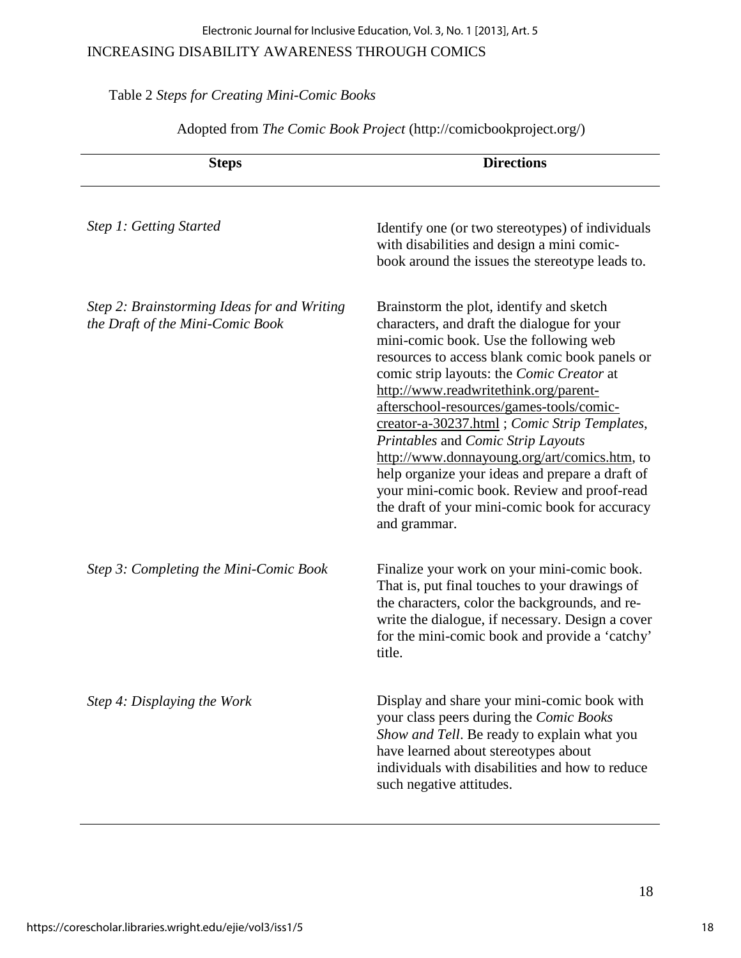#### Electronic Journal for Inclusive Education, Vol. 3, No. 1 [2013], Art. 5

### INCREASING DISABILITY AWARENESS THROUGH COMICS

## Table 2 *Steps for Creating Mini-Comic Books*

| <b>Steps</b>                                                                    | <b>Directions</b>                                                                                                                                                                                                                                                                                                                                                                                                                                                                                                                                                                                                               |  |  |
|---------------------------------------------------------------------------------|---------------------------------------------------------------------------------------------------------------------------------------------------------------------------------------------------------------------------------------------------------------------------------------------------------------------------------------------------------------------------------------------------------------------------------------------------------------------------------------------------------------------------------------------------------------------------------------------------------------------------------|--|--|
| Step 1: Getting Started                                                         | Identify one (or two stereotypes) of individuals<br>with disabilities and design a mini comic-<br>book around the issues the stereotype leads to.                                                                                                                                                                                                                                                                                                                                                                                                                                                                               |  |  |
| Step 2: Brainstorming Ideas for and Writing<br>the Draft of the Mini-Comic Book | Brainstorm the plot, identify and sketch<br>characters, and draft the dialogue for your<br>mini-comic book. Use the following web<br>resources to access blank comic book panels or<br>comic strip layouts: the Comic Creator at<br>http://www.readwritethink.org/parent-<br>afterschool-resources/games-tools/comic-<br>creator-a-30237.html; Comic Strip Templates,<br>Printables and Comic Strip Layouts<br>http://www.donnayoung.org/art/comics.htm, to<br>help organize your ideas and prepare a draft of<br>your mini-comic book. Review and proof-read<br>the draft of your mini-comic book for accuracy<br>and grammar. |  |  |
| Step 3: Completing the Mini-Comic Book                                          | Finalize your work on your mini-comic book.<br>That is, put final touches to your drawings of<br>the characters, color the backgrounds, and re-<br>write the dialogue, if necessary. Design a cover<br>for the mini-comic book and provide a 'catchy'<br>title.                                                                                                                                                                                                                                                                                                                                                                 |  |  |
| Step 4: Displaying the Work                                                     | Display and share your mini-comic book with<br>your class peers during the Comic Books<br>Show and Tell. Be ready to explain what you<br>have learned about stereotypes about<br>individuals with disabilities and how to reduce<br>such negative attitudes.                                                                                                                                                                                                                                                                                                                                                                    |  |  |

Adopted from *The Comic Book Project* (http://comicbookproject.org/)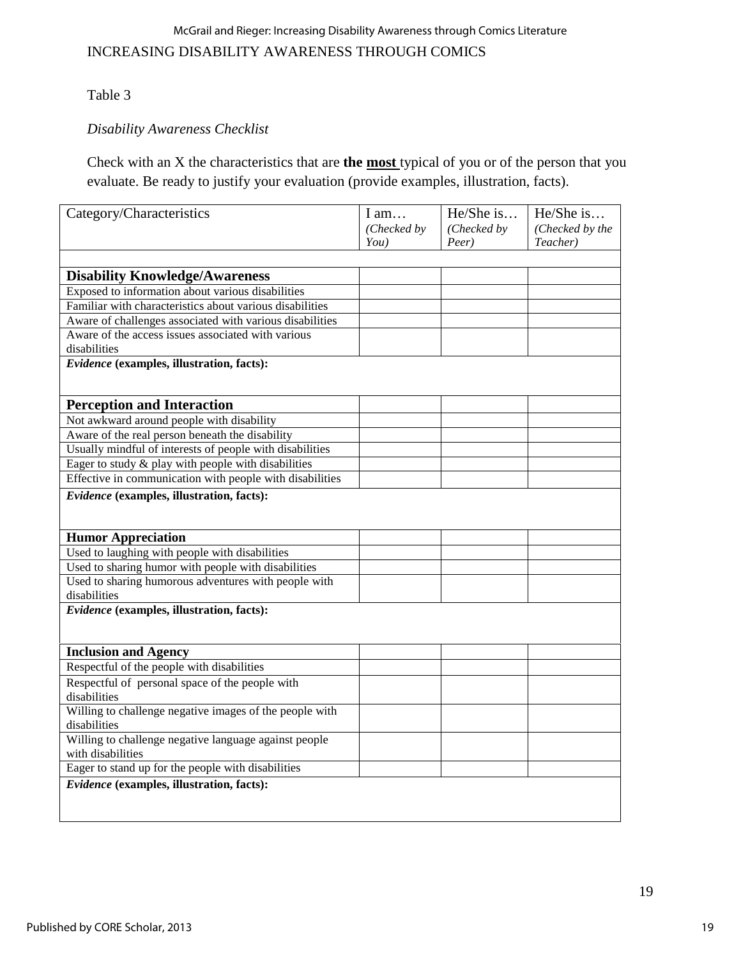### McGrail and Rieger: Increasing Disability Awareness through Comics Literature

## INCREASING DISABILITY AWARENESS THROUGH COMICS

### Table 3

## *Disability Awareness Checklist*

Check with an X the characteristics that are **the most** typical of you or of the person that you evaluate. Be ready to justify your evaluation (provide examples, illustration, facts).

| Category/Characteristics                                                  | I am        | He/She is   | He/She is       |
|---------------------------------------------------------------------------|-------------|-------------|-----------------|
|                                                                           | (Checked by | (Checked by | (Checked by the |
|                                                                           | You)        | Peer)       | Teacher)        |
|                                                                           |             |             |                 |
| <b>Disability Knowledge/Awareness</b>                                     |             |             |                 |
| Exposed to information about various disabilities                         |             |             |                 |
| Familiar with characteristics about various disabilities                  |             |             |                 |
| Aware of challenges associated with various disabilities                  |             |             |                 |
| Aware of the access issues associated with various                        |             |             |                 |
| disabilities                                                              |             |             |                 |
| Evidence (examples, illustration, facts):                                 |             |             |                 |
|                                                                           |             |             |                 |
| <b>Perception and Interaction</b>                                         |             |             |                 |
| Not awkward around people with disability                                 |             |             |                 |
| Aware of the real person beneath the disability                           |             |             |                 |
| Usually mindful of interests of people with disabilities                  |             |             |                 |
| Eager to study $\&$ play with people with disabilities                    |             |             |                 |
| Effective in communication with people with disabilities                  |             |             |                 |
| Evidence (examples, illustration, facts):                                 |             |             |                 |
|                                                                           |             |             |                 |
|                                                                           |             |             |                 |
| <b>Humor Appreciation</b>                                                 |             |             |                 |
| Used to laughing with people with disabilities                            |             |             |                 |
| Used to sharing humor with people with disabilities                       |             |             |                 |
| Used to sharing humorous adventures with people with                      |             |             |                 |
| disabilities                                                              |             |             |                 |
| Evidence (examples, illustration, facts):                                 |             |             |                 |
|                                                                           |             |             |                 |
|                                                                           |             |             |                 |
| <b>Inclusion and Agency</b><br>Respectful of the people with disabilities |             |             |                 |
|                                                                           |             |             |                 |
| Respectful of personal space of the people with                           |             |             |                 |
| disabilities<br>Willing to challenge negative images of the people with   |             |             |                 |
| disabilities                                                              |             |             |                 |
| Willing to challenge negative language against people                     |             |             |                 |
| with disabilities                                                         |             |             |                 |
| Eager to stand up for the people with disabilities                        |             |             |                 |
|                                                                           |             |             |                 |
| Evidence (examples, illustration, facts):                                 |             |             |                 |
|                                                                           |             |             |                 |
|                                                                           |             |             |                 |